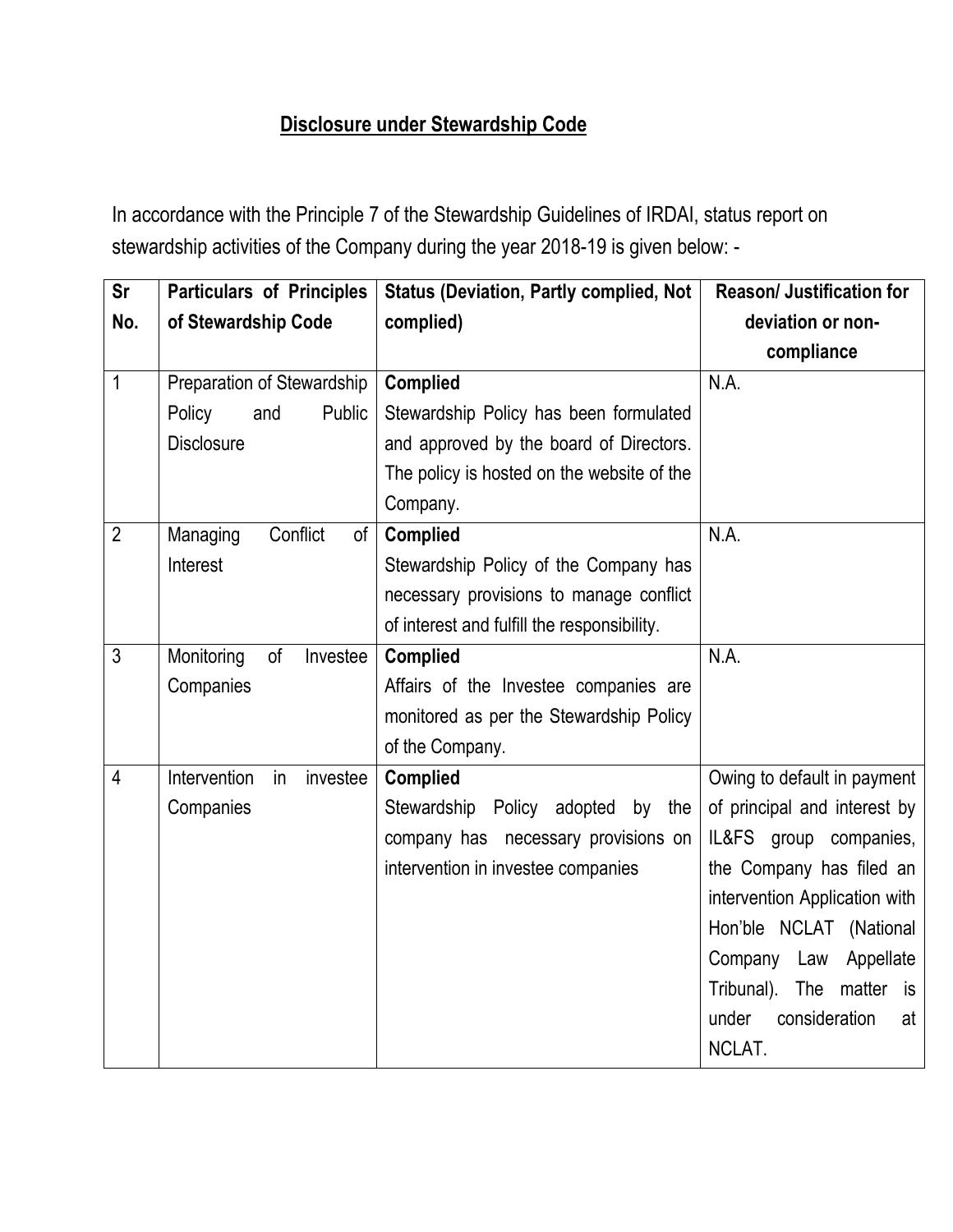## **Disclosure under Stewardship Code**

In accordance with the Principle 7 of the Stewardship Guidelines of IRDAI, status report on stewardship activities of the Company during the year 2018-19 is given below: -

| <b>Sr</b><br>No. | <b>Particulars of Principles</b><br>of Stewardship Code | <b>Status (Deviation, Partly complied, Not</b><br>complied) | Reason/ Justification for<br>deviation or non- |
|------------------|---------------------------------------------------------|-------------------------------------------------------------|------------------------------------------------|
|                  |                                                         |                                                             | compliance                                     |
| $\mathbf{1}$     | Preparation of Stewardship                              | <b>Complied</b>                                             | N.A.                                           |
|                  | Policy<br>and<br>Public                                 | Stewardship Policy has been formulated                      |                                                |
|                  | <b>Disclosure</b>                                       | and approved by the board of Directors.                     |                                                |
|                  |                                                         | The policy is hosted on the website of the                  |                                                |
|                  |                                                         | Company.                                                    |                                                |
| $\overline{2}$   | Managing<br>Conflict<br>0f                              | <b>Complied</b>                                             | N.A.                                           |
|                  | Interest                                                | Stewardship Policy of the Company has                       |                                                |
|                  |                                                         | necessary provisions to manage conflict                     |                                                |
|                  |                                                         | of interest and fulfill the responsibility.                 |                                                |
| 3                | Monitoring<br>of<br>Investee                            | <b>Complied</b>                                             | N.A.                                           |
|                  | Companies                                               | Affairs of the Investee companies are                       |                                                |
|                  |                                                         | monitored as per the Stewardship Policy                     |                                                |
|                  |                                                         | of the Company.                                             |                                                |
| $\overline{4}$   | Intervention<br>in<br>investee                          | <b>Complied</b>                                             | Owing to default in payment                    |
|                  | Companies                                               | Stewardship Policy adopted<br>by the                        | of principal and interest by                   |
|                  |                                                         | company has necessary provisions on                         | IL&FS group companies,                         |
|                  |                                                         | intervention in investee companies                          | the Company has filed an                       |
|                  |                                                         |                                                             | intervention Application with                  |
|                  |                                                         |                                                             | Hon'ble NCLAT (National                        |
|                  |                                                         |                                                             | Company Law Appellate                          |
|                  |                                                         |                                                             | Tribunal). The matter is                       |
|                  |                                                         |                                                             | under<br>consideration<br>at                   |
|                  |                                                         |                                                             | NCLAT.                                         |